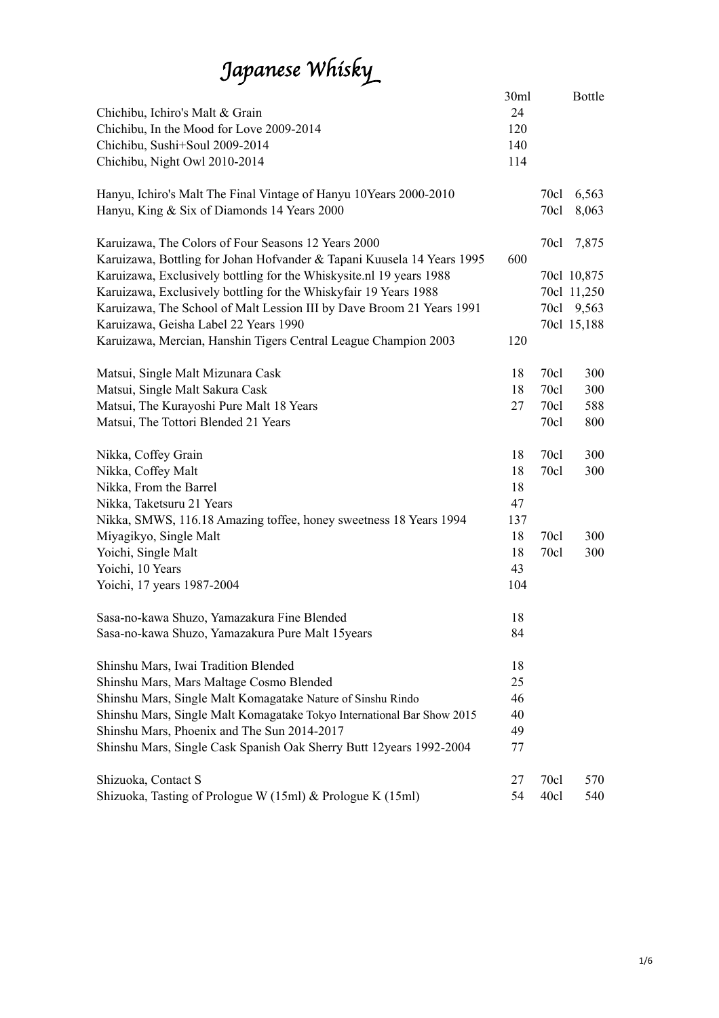# *Japanese Whisk*y

| Chichibu, Ichiro's Malt & Grain<br>Chichibu, In the Mood for Love 2009-2014<br>Chichibu, Sushi+Soul 2009-2014<br>Chichibu, Night Owl 2010-2014 | 30ml<br>24<br>120<br>140<br>114 |              | <b>Bottle</b>  |
|------------------------------------------------------------------------------------------------------------------------------------------------|---------------------------------|--------------|----------------|
| Hanyu, Ichiro's Malt The Final Vintage of Hanyu 10Years 2000-2010<br>Hanyu, King & Six of Diamonds 14 Years 2000                               |                                 | 70c1<br>70cl | 6,563<br>8,063 |
| Karuizawa, The Colors of Four Seasons 12 Years 2000<br>Karuizawa, Bottling for Johan Hofvander & Tapani Kuusela 14 Years 1995                  | 600                             | 70c1         | 7,875          |
| Karuizawa, Exclusively bottling for the Whiskysite.nl 19 years 1988                                                                            |                                 |              | 70cl 10,875    |
| Karuizawa, Exclusively bottling for the Whiskyfair 19 Years 1988                                                                               |                                 |              | 70cl 11,250    |
| Karuizawa, The School of Malt Lession III by Dave Broom 21 Years 1991                                                                          |                                 |              | 70cl 9,563     |
| Karuizawa, Geisha Label 22 Years 1990<br>Karuizawa, Mercian, Hanshin Tigers Central League Champion 2003                                       | 120                             |              | 70cl 15,188    |
|                                                                                                                                                |                                 |              |                |
| Matsui, Single Malt Mizunara Cask                                                                                                              | 18                              | 70c1         | 300            |
| Matsui, Single Malt Sakura Cask                                                                                                                | 18                              | 70c1         | 300            |
| Matsui, The Kurayoshi Pure Malt 18 Years                                                                                                       | 27                              | 70c1         | 588            |
| Matsui, The Tottori Blended 21 Years                                                                                                           |                                 | 70c1         | 800            |
| Nikka, Coffey Grain                                                                                                                            | 18                              | 70c1         | 300            |
| Nikka, Coffey Malt                                                                                                                             | 18                              | 70c1         | 300            |
| Nikka, From the Barrel                                                                                                                         | 18                              |              |                |
| Nikka, Taketsuru 21 Years                                                                                                                      | 47                              |              |                |
| Nikka, SMWS, 116.18 Amazing toffee, honey sweetness 18 Years 1994                                                                              | 137                             |              |                |
| Miyagikyo, Single Malt                                                                                                                         | 18                              | 70c1         | 300            |
| Yoichi, Single Malt                                                                                                                            | 18                              | 70c1         | 300            |
| Yoichi, 10 Years                                                                                                                               | 43                              |              |                |
| Yoichi, 17 years 1987-2004                                                                                                                     | 104                             |              |                |
| Sasa-no-kawa Shuzo, Yamazakura Fine Blended                                                                                                    | 18                              |              |                |
| Sasa-no-kawa Shuzo, Yamazakura Pure Malt 15years                                                                                               | 84                              |              |                |
| Shinshu Mars, Iwai Tradition Blended                                                                                                           | 18                              |              |                |
| Shinshu Mars, Mars Maltage Cosmo Blended                                                                                                       | 25                              |              |                |
| Shinshu Mars, Single Malt Komagatake Nature of Sinshu Rindo                                                                                    | 46                              |              |                |
| Shinshu Mars, Single Malt Komagatake Tokyo International Bar Show 2015                                                                         | 40                              |              |                |
| Shinshu Mars, Phoenix and The Sun 2014-2017                                                                                                    | 49                              |              |                |
| Shinshu Mars, Single Cask Spanish Oak Sherry Butt 12years 1992-2004                                                                            | 77                              |              |                |
| Shizuoka, Contact S                                                                                                                            | 27                              | 70c1         | 570            |
| Shizuoka, Tasting of Prologue W (15ml) & Prologue K (15ml)                                                                                     | 54                              | 40c1         | 540            |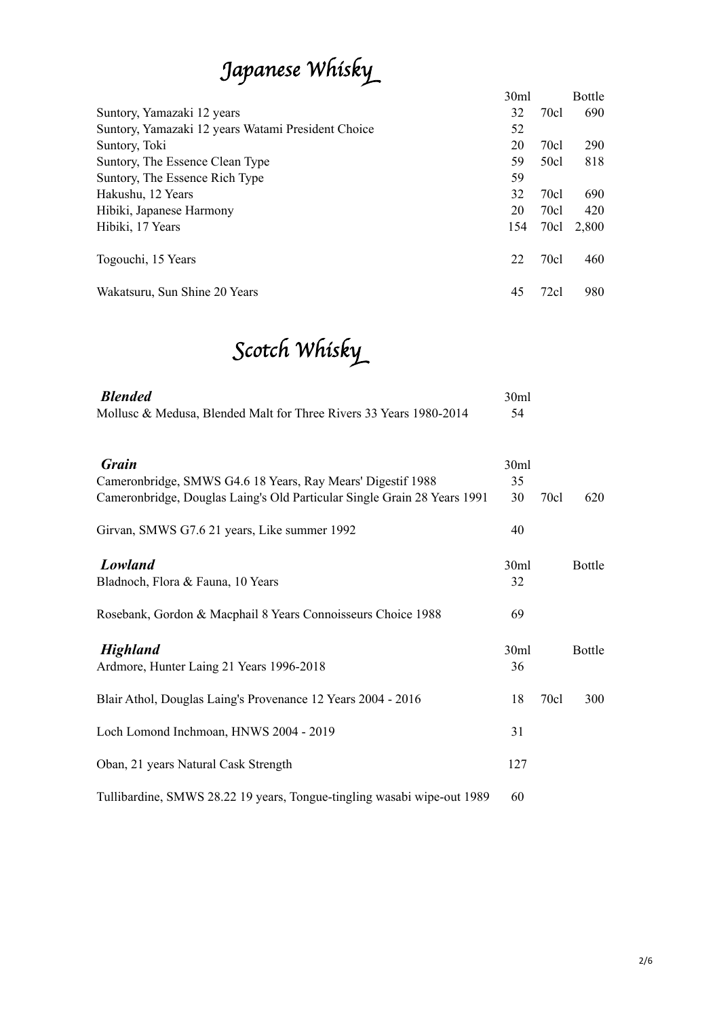## *Japanese Whisk*y

|                                                    | 30 <sub>ml</sub> |                  | <b>Bottle</b> |
|----------------------------------------------------|------------------|------------------|---------------|
| Suntory, Yamazaki 12 years                         | 32               | 70cl             | 690           |
| Suntory, Yamazaki 12 years Watami President Choice | 52               |                  |               |
| Suntory, Toki                                      | 20               | 70 <sub>cl</sub> | 290           |
| Suntory, The Essence Clean Type                    | 59               | 50 <sub>cl</sub> | 818           |
| Suntory, The Essence Rich Type                     | 59               |                  |               |
| Hakushu, 12 Years                                  | 32               | 70c1             | 690           |
| Hibiki, Japanese Harmony                           | 20               | 70 <sub>cl</sub> | 420           |
| Hibiki, 17 Years                                   | 154              | 70 <sub>cl</sub> | 2,800         |
| Togouchi, 15 Years                                 | 22               | 70c1             | 460           |
| Wakatsuru, Sun Shine 20 Years                      | 45               | 72c1             | 980           |

## S*cotch Whisk*y

| <b>Blended</b>                                                              | 30ml       |      |               |
|-----------------------------------------------------------------------------|------------|------|---------------|
| Mollusc & Medusa, Blended Malt for Three Rivers 33 Years 1980-2014          | 54         |      |               |
| <b>Grain</b><br>Cameronbridge, SMWS G4.6 18 Years, Ray Mears' Digestif 1988 | 30ml<br>35 |      |               |
| Cameronbridge, Douglas Laing's Old Particular Single Grain 28 Years 1991    | 30         | 70cl | 620           |
| Girvan, SMWS G7.6 21 years, Like summer 1992                                | 40         |      |               |
| <b>Lowland</b><br>Bladnoch, Flora & Fauna, 10 Years                         | 30ml<br>32 |      | <b>Bottle</b> |
| Rosebank, Gordon & Macphail 8 Years Connoisseurs Choice 1988                | 69         |      |               |
| <b>Highland</b><br>Ardmore, Hunter Laing 21 Years 1996-2018                 | 30ml<br>36 |      | <b>Bottle</b> |
| Blair Athol, Douglas Laing's Provenance 12 Years 2004 - 2016                | 18         | 70c1 | 300           |
| Loch Lomond Inchmoan, HNWS 2004 - 2019                                      | 31         |      |               |
| Oban, 21 years Natural Cask Strength                                        | 127        |      |               |
| Tullibardine, SMWS 28.22 19 years, Tongue-tingling wasabi wipe-out 1989     | 60         |      |               |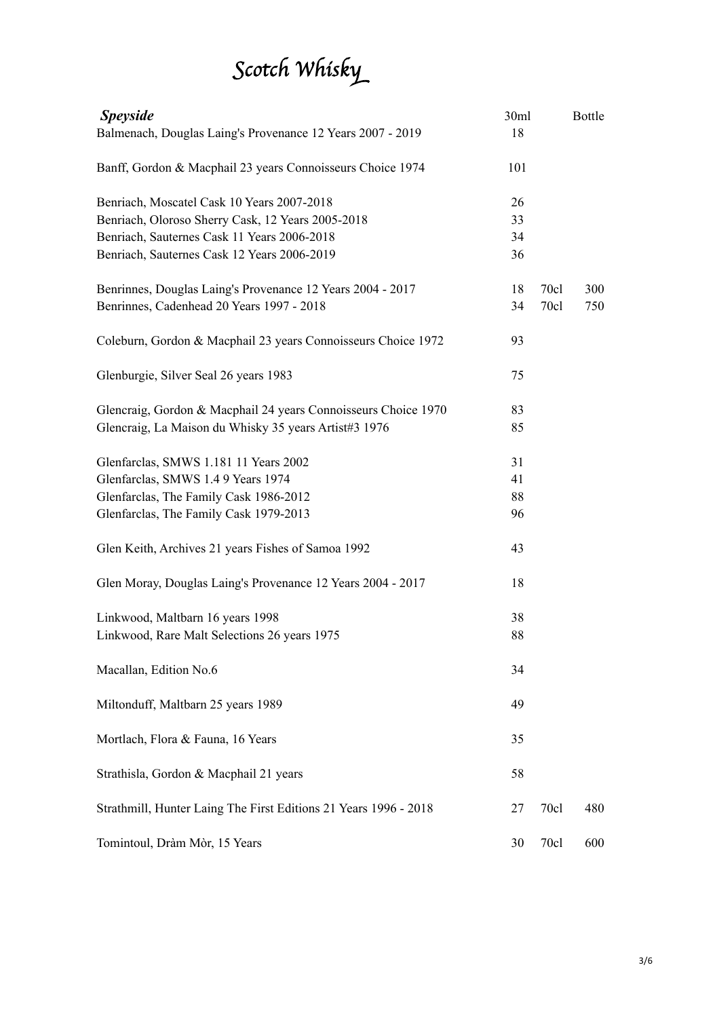# S*cotch Whisk*y

| <b>Speyside</b>                                                  | 30ml |      | Bottle |
|------------------------------------------------------------------|------|------|--------|
| Balmenach, Douglas Laing's Provenance 12 Years 2007 - 2019       | 18   |      |        |
| Banff, Gordon & Macphail 23 years Connoisseurs Choice 1974       | 101  |      |        |
| Benriach, Moscatel Cask 10 Years 2007-2018                       | 26   |      |        |
| Benriach, Oloroso Sherry Cask, 12 Years 2005-2018                | 33   |      |        |
| Benriach, Sauternes Cask 11 Years 2006-2018                      | 34   |      |        |
| Benriach, Sauternes Cask 12 Years 2006-2019                      | 36   |      |        |
| Benrinnes, Douglas Laing's Provenance 12 Years 2004 - 2017       | 18   | 70c1 | 300    |
| Benrinnes, Cadenhead 20 Years 1997 - 2018                        | 34   | 70c1 | 750    |
| Coleburn, Gordon & Macphail 23 years Connoisseurs Choice 1972    | 93   |      |        |
| Glenburgie, Silver Seal 26 years 1983                            | 75   |      |        |
| Glencraig, Gordon & Macphail 24 years Connoisseurs Choice 1970   | 83   |      |        |
| Glencraig, La Maison du Whisky 35 years Artist#3 1976            | 85   |      |        |
| Glenfarclas, SMWS 1.181 11 Years 2002                            | 31   |      |        |
| Glenfarclas, SMWS 1.4 9 Years 1974                               | 41   |      |        |
| Glenfarclas, The Family Cask 1986-2012                           | 88   |      |        |
| Glenfarclas, The Family Cask 1979-2013                           | 96   |      |        |
| Glen Keith, Archives 21 years Fishes of Samoa 1992               | 43   |      |        |
| Glen Moray, Douglas Laing's Provenance 12 Years 2004 - 2017      | 18   |      |        |
| Linkwood, Maltbarn 16 years 1998                                 | 38   |      |        |
| Linkwood, Rare Malt Selections 26 years 1975                     | 88   |      |        |
| Macallan, Edition No.6                                           | 34   |      |        |
| Miltonduff, Maltbarn 25 years 1989                               | 49   |      |        |
| Mortlach, Flora & Fauna, 16 Years                                | 35   |      |        |
| Strathisla, Gordon & Macphail 21 years                           | 58   |      |        |
| Strathmill, Hunter Laing The First Editions 21 Years 1996 - 2018 | 27   | 70c1 | 480    |
| Tomintoul, Dràm Mòr, 15 Years                                    | 30   | 70c1 | 600    |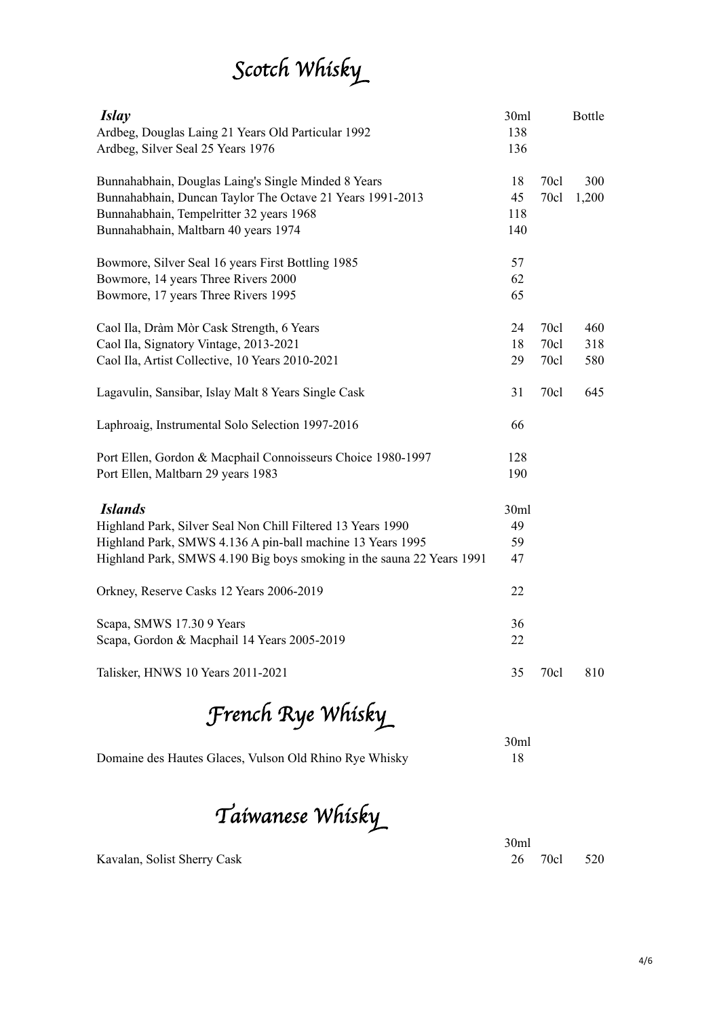# S*cotch Whisk*y

| <i>Islay</i><br>Ardbeg, Douglas Laing 21 Years Old Particular 1992<br>Ardbeg, Silver Seal 25 Years 1976                                                                                                              | 30ml<br>138<br>136     |                      | <b>Bottle</b>     |
|----------------------------------------------------------------------------------------------------------------------------------------------------------------------------------------------------------------------|------------------------|----------------------|-------------------|
| Bunnahabhain, Douglas Laing's Single Minded 8 Years<br>Bunnahabhain, Duncan Taylor The Octave 21 Years 1991-2013<br>Bunnahabhain, Tempelritter 32 years 1968<br>Bunnahabhain, Maltbarn 40 years 1974                 | 18<br>45<br>118<br>140 | 70cl<br>70c1         | 300<br>1,200      |
| Bowmore, Silver Seal 16 years First Bottling 1985<br>Bowmore, 14 years Three Rivers 2000<br>Bowmore, 17 years Three Rivers 1995                                                                                      | 57<br>62<br>65         |                      |                   |
| Caol Ila, Dràm Mòr Cask Strength, 6 Years<br>Caol Ila, Signatory Vintage, 2013-2021<br>Caol Ila, Artist Collective, 10 Years 2010-2021                                                                               | 24<br>18<br>29         | 70c1<br>70c1<br>70c1 | 460<br>318<br>580 |
| Lagavulin, Sansibar, Islay Malt 8 Years Single Cask                                                                                                                                                                  | 31                     | 70cl                 | 645               |
| Laphroaig, Instrumental Solo Selection 1997-2016                                                                                                                                                                     | 66                     |                      |                   |
| Port Ellen, Gordon & Macphail Connoisseurs Choice 1980-1997<br>Port Ellen, Maltbarn 29 years 1983                                                                                                                    | 128<br>190             |                      |                   |
| <b>Islands</b><br>Highland Park, Silver Seal Non Chill Filtered 13 Years 1990<br>Highland Park, SMWS 4.136 A pin-ball machine 13 Years 1995<br>Highland Park, SMWS 4.190 Big boys smoking in the sauna 22 Years 1991 | 30ml<br>49<br>59<br>47 |                      |                   |
| Orkney, Reserve Casks 12 Years 2006-2019                                                                                                                                                                             | 22                     |                      |                   |
| Scapa, SMWS 17.30 9 Years<br>Scapa, Gordon & Macphail 14 Years 2005-2019                                                                                                                                             | 36<br>22               |                      |                   |
| Talisker, HNWS 10 Years 2011-2021                                                                                                                                                                                    | 35                     | 70c1                 | 810               |
| French Rye Whisky                                                                                                                                                                                                    |                        |                      |                   |
| Domaine des Hautes Glaces, Vulson Old Rhino Rye Whisky                                                                                                                                                               | 30ml<br>18             |                      |                   |

T*aiwanese Whisk*y

30ml Kavalan, Solist Sherry Cask 26 70cl 520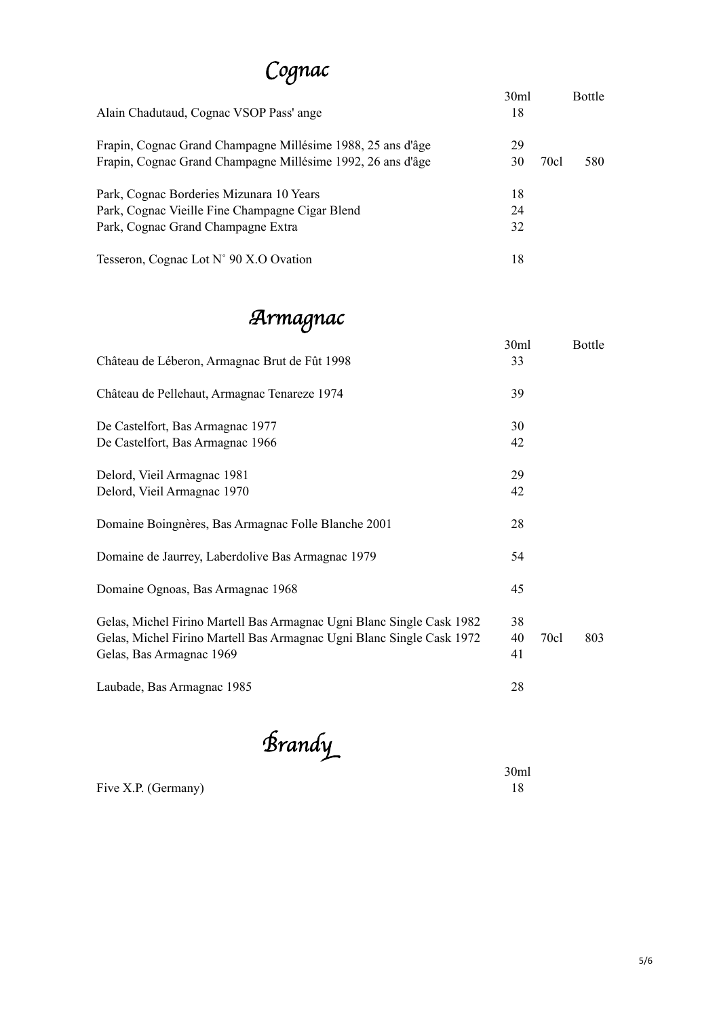#### C*ognac*

| Alain Chadutaud, Cognac VSOP Pass' ange                     | 30 <sub>ml</sub><br>18 |      | <b>Bottle</b> |
|-------------------------------------------------------------|------------------------|------|---------------|
| Frapin, Cognac Grand Champagne Millésime 1988, 25 ans d'âge | 29                     |      |               |
| Frapin, Cognac Grand Champagne Millésime 1992, 26 ans d'âge | 30                     | 70cl | 580           |
| Park, Cognac Borderies Mizunara 10 Years                    | 18                     |      |               |
| Park, Cognac Vieille Fine Champagne Cigar Blend             | 24                     |      |               |
| Park, Cognac Grand Champagne Extra                          | 32                     |      |               |
| Tesseron, Cognac Lot N° 90 X.O Ovation                      | 18                     |      |               |

### A*rmagnac*

|                                                                                                   | 30ml     |      | Bottle |
|---------------------------------------------------------------------------------------------------|----------|------|--------|
| Château de Léberon, Armagnac Brut de Fût 1998                                                     | 33       |      |        |
| Château de Pellehaut, Armagnac Tenareze 1974                                                      | 39       |      |        |
| De Castelfort, Bas Armagnac 1977                                                                  | 30       |      |        |
| De Castelfort, Bas Armagnac 1966                                                                  | 42       |      |        |
| Delord, Vieil Armagnac 1981                                                                       | 29       |      |        |
| Delord, Vieil Armagnac 1970                                                                       | 42       |      |        |
| Domaine Boingnères, Bas Armagnac Folle Blanche 2001                                               | 28       |      |        |
| Domaine de Jaurrey, Laberdolive Bas Armagnac 1979                                                 | 54       |      |        |
| Domaine Ognoas, Bas Armagnac 1968                                                                 | 45       |      |        |
| Gelas, Michel Firino Martell Bas Armagnac Ugni Blanc Single Cask 1982                             | 38       |      |        |
| Gelas, Michel Firino Martell Bas Armagnac Ugni Blanc Single Cask 1972<br>Gelas, Bas Armagnac 1969 | 40<br>41 | 70c1 | 803    |
| Laubade, Bas Armagnac 1985                                                                        | 28       |      |        |

B*rand*y

Five X.P. (Germany)

 $\begin{array}{c} 30 \text{ml} \\ 18 \end{array}$